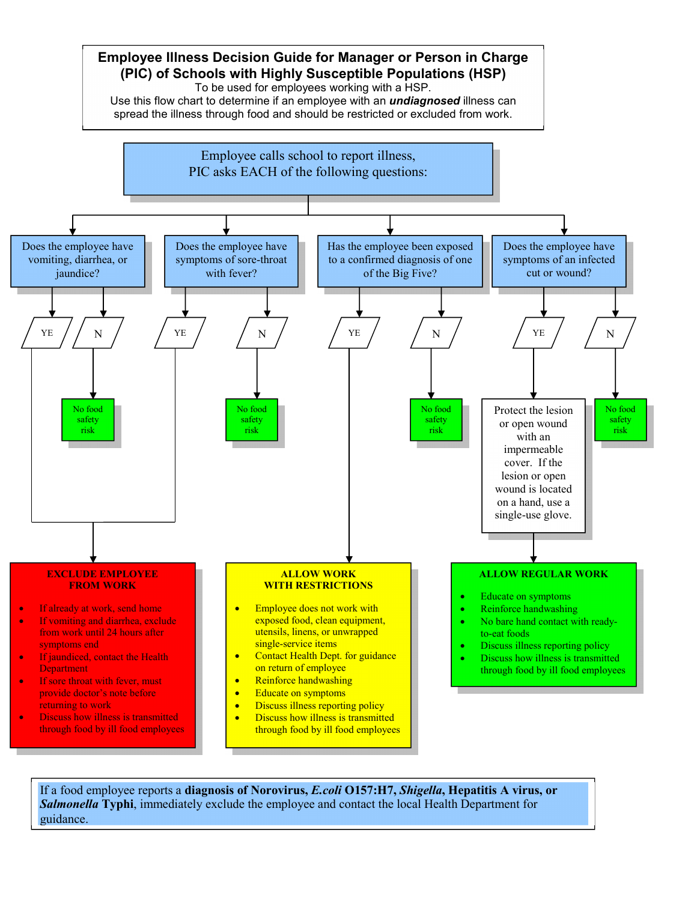

If a food employee reports a **diagnosis of Norovirus,** *E.coli* **O157:H7,** *Shigella***, Hepatitis A virus, or**  *Salmonella* **Typhi**, immediately exclude the employee and contact the local Health Department for guidance.